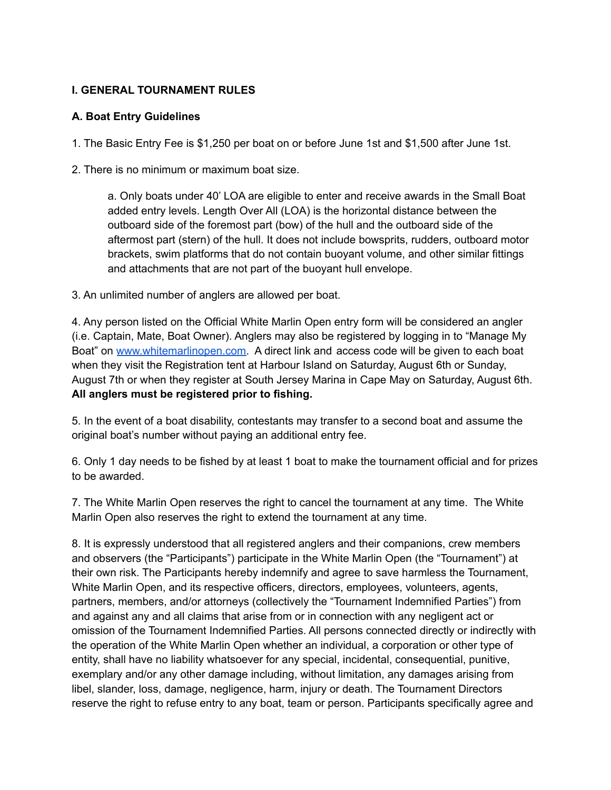### **I. GENERAL TOURNAMENT RULES**

### **A. Boat Entry Guidelines**

1. The Basic Entry Fee is \$1,250 per boat on or before June 1st and \$1,500 after June 1st.

2. There is no minimum or maximum boat size.

a. Only boats under 40' LOA are eligible to enter and receive awards in the Small Boat added entry levels. Length Over All (LOA) is the horizontal distance between the outboard side of the foremost part (bow) of the hull and the outboard side of the aftermost part (stern) of the hull. It does not include bowsprits, rudders, outboard motor brackets, swim platforms that do not contain buoyant volume, and other similar fittings and attachments that are not part of the buoyant hull envelope.

3. An unlimited number of anglers are allowed per boat.

4. Any person listed on the Official White Marlin Open entry form will be considered an angler (i.e. Captain, Mate, Boat Owner). Anglers may also be registered by logging in to "Manage My Boat" on [www.whitemarlinopen.com.](http://www.whitemarlinopen.com) A direct link and access code will be given to each boat when they visit the Registration tent at Harbour Island on Saturday, August 6th or Sunday, August 7th or when they register at South Jersey Marina in Cape May on Saturday, August 6th. **All anglers must be registered prior to fishing.**

5. In the event of a boat disability, contestants may transfer to a second boat and assume the original boat's number without paying an additional entry fee.

6. Only 1 day needs to be fished by at least 1 boat to make the tournament official and for prizes to be awarded.

7. The White Marlin Open reserves the right to cancel the tournament at any time. The White Marlin Open also reserves the right to extend the tournament at any time.

8. It is expressly understood that all registered anglers and their companions, crew members and observers (the "Participants") participate in the White Marlin Open (the "Tournament") at their own risk. The Participants hereby indemnify and agree to save harmless the Tournament, White Marlin Open, and its respective officers, directors, employees, volunteers, agents, partners, members, and/or attorneys (collectively the "Tournament Indemnified Parties") from and against any and all claims that arise from or in connection with any negligent act or omission of the Tournament Indemnified Parties. All persons connected directly or indirectly with the operation of the White Marlin Open whether an individual, a corporation or other type of entity, shall have no liability whatsoever for any special, incidental, consequential, punitive, exemplary and/or any other damage including, without limitation, any damages arising from libel, slander, loss, damage, negligence, harm, injury or death. The Tournament Directors reserve the right to refuse entry to any boat, team or person. Participants specifically agree and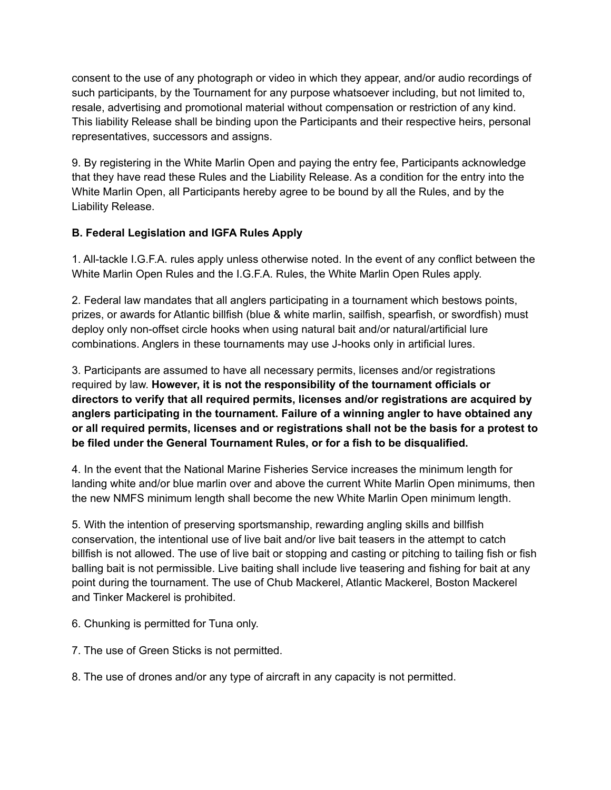consent to the use of any photograph or video in which they appear, and/or audio recordings of such participants, by the Tournament for any purpose whatsoever including, but not limited to, resale, advertising and promotional material without compensation or restriction of any kind. This liability Release shall be binding upon the Participants and their respective heirs, personal representatives, successors and assigns.

9. By registering in the White Marlin Open and paying the entry fee, Participants acknowledge that they have read these Rules and the Liability Release. As a condition for the entry into the White Marlin Open, all Participants hereby agree to be bound by all the Rules, and by the Liability Release.

# **B. Federal Legislation and IGFA Rules Apply**

1. All-tackle I.G.F.A. rules apply unless otherwise noted. In the event of any conflict between the White Marlin Open Rules and the I.G.F.A. Rules, the White Marlin Open Rules apply.

2. Federal law mandates that all anglers participating in a tournament which bestows points, prizes, or awards for Atlantic billfish (blue & white marlin, sailfish, spearfish, or swordfish) must deploy only non-offset circle hooks when using natural bait and/or natural/artificial lure combinations. Anglers in these tournaments may use J-hooks only in artificial lures.

3. Participants are assumed to have all necessary permits, licenses and/or registrations required by law. **However, it is not the responsibility of the tournament officials or directors to verify that all required permits, licenses and/or registrations are acquired by anglers participating in the tournament. Failure of a winning angler to have obtained any or all required permits, licenses and or registrations shall not be the basis for a protest to be filed under the General Tournament Rules, or for a fish to be disqualified.**

4. In the event that the National Marine Fisheries Service increases the minimum length for landing white and/or blue marlin over and above the current White Marlin Open minimums, then the new NMFS minimum length shall become the new White Marlin Open minimum length.

5. With the intention of preserving sportsmanship, rewarding angling skills and billfish conservation, the intentional use of live bait and/or live bait teasers in the attempt to catch billfish is not allowed. The use of live bait or stopping and casting or pitching to tailing fish or fish balling bait is not permissible. Live baiting shall include live teasering and fishing for bait at any point during the tournament. The use of Chub Mackerel, Atlantic Mackerel, Boston Mackerel and Tinker Mackerel is prohibited.

- 6. Chunking is permitted for Tuna only.
- 7. The use of Green Sticks is not permitted.
- 8. The use of drones and/or any type of aircraft in any capacity is not permitted.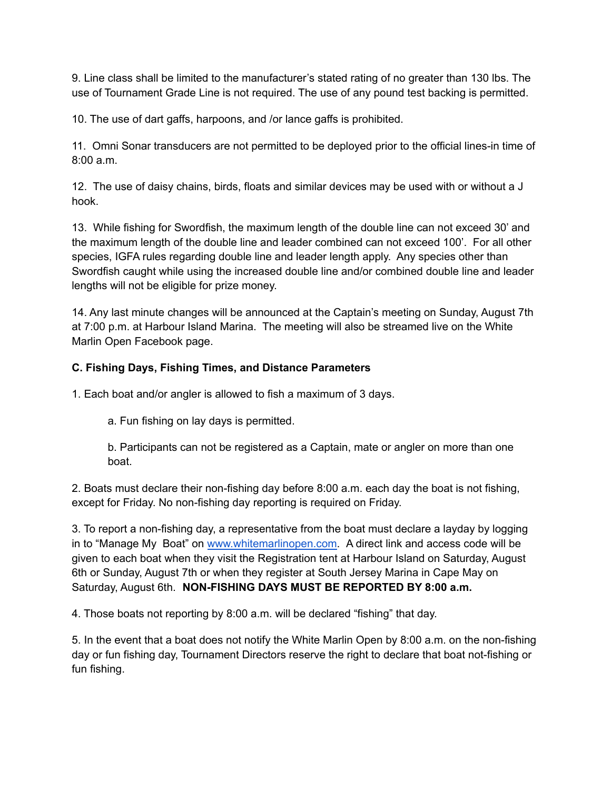9. Line class shall be limited to the manufacturer's stated rating of no greater than 130 lbs. The use of Tournament Grade Line is not required. The use of any pound test backing is permitted.

10. The use of dart gaffs, harpoons, and /or lance gaffs is prohibited.

11. Omni Sonar transducers are not permitted to be deployed prior to the official lines-in time of 8:00 a.m.

12. The use of daisy chains, birds, floats and similar devices may be used with or without a J hook.

13. While fishing for Swordfish, the maximum length of the double line can not exceed 30' and the maximum length of the double line and leader combined can not exceed 100'. For all other species, IGFA rules regarding double line and leader length apply. Any species other than Swordfish caught while using the increased double line and/or combined double line and leader lengths will not be eligible for prize money.

14. Any last minute changes will be announced at the Captain's meeting on Sunday, August 7th at 7:00 p.m. at Harbour Island Marina. The meeting will also be streamed live on the White Marlin Open Facebook page.

### **C. Fishing Days, Fishing Times, and Distance Parameters**

1. Each boat and/or angler is allowed to fish a maximum of 3 days.

a. Fun fishing on lay days is permitted.

b. Participants can not be registered as a Captain, mate or angler on more than one boat.

2. Boats must declare their non-fishing day before 8:00 a.m. each day the boat is not fishing, except for Friday. No non-fishing day reporting is required on Friday.

3. To report a non-fishing day, a representative from the boat must declare a layday by logging in to "Manage My Boat" on [www.whitemarlinopen.com.](http://www.whitemarlinopen.com) A direct link and access code will be given to each boat when they visit the Registration tent at Harbour Island on Saturday, August 6th or Sunday, August 7th or when they register at South Jersey Marina in Cape May on Saturday, August 6th. **NON-FISHING DAYS MUST BE REPORTED BY 8:00 a.m.**

4. Those boats not reporting by 8:00 a.m. will be declared "fishing" that day.

5. In the event that a boat does not notify the White Marlin Open by 8:00 a.m. on the non-fishing day or fun fishing day, Tournament Directors reserve the right to declare that boat not-fishing or fun fishing.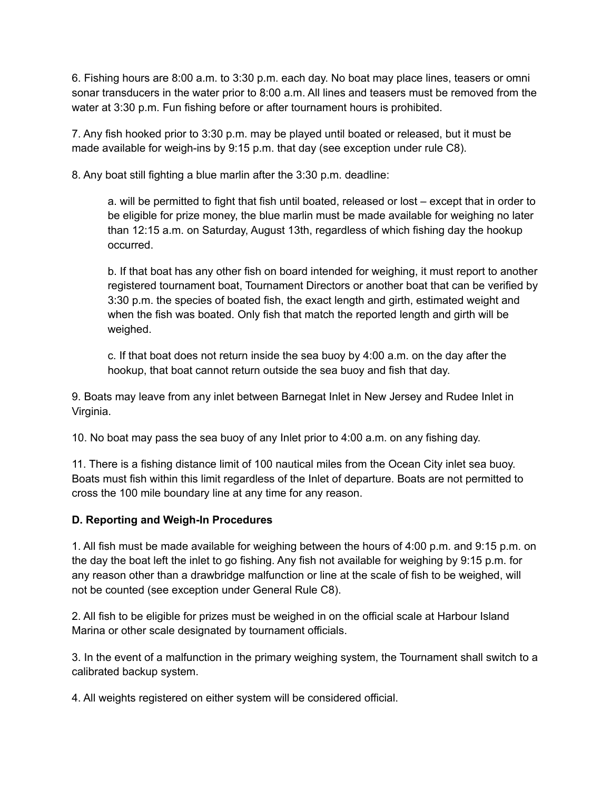6. Fishing hours are 8:00 a.m. to 3:30 p.m. each day. No boat may place lines, teasers or omni sonar transducers in the water prior to 8:00 a.m. All lines and teasers must be removed from the water at 3:30 p.m. Fun fishing before or after tournament hours is prohibited.

7. Any fish hooked prior to 3:30 p.m. may be played until boated or released, but it must be made available for weigh-ins by 9:15 p.m. that day (see exception under rule C8).

8. Any boat still fighting a blue marlin after the 3:30 p.m. deadline:

a. will be permitted to fight that fish until boated, released or lost – except that in order to be eligible for prize money, the blue marlin must be made available for weighing no later than 12:15 a.m. on Saturday, August 13th, regardless of which fishing day the hookup occurred.

b. If that boat has any other fish on board intended for weighing, it must report to another registered tournament boat, Tournament Directors or another boat that can be verified by 3:30 p.m. the species of boated fish, the exact length and girth, estimated weight and when the fish was boated. Only fish that match the reported length and girth will be weighed.

c. If that boat does not return inside the sea buoy by 4:00 a.m. on the day after the hookup, that boat cannot return outside the sea buoy and fish that day.

9. Boats may leave from any inlet between Barnegat Inlet in New Jersey and Rudee Inlet in Virginia.

10. No boat may pass the sea buoy of any Inlet prior to 4:00 a.m. on any fishing day.

11. There is a fishing distance limit of 100 nautical miles from the Ocean City inlet sea buoy. Boats must fish within this limit regardless of the Inlet of departure. Boats are not permitted to cross the 100 mile boundary line at any time for any reason.

# **D. Reporting and Weigh-In Procedures**

1. All fish must be made available for weighing between the hours of 4:00 p.m. and 9:15 p.m. on the day the boat left the inlet to go fishing. Any fish not available for weighing by 9:15 p.m. for any reason other than a drawbridge malfunction or line at the scale of fish to be weighed, will not be counted (see exception under General Rule C8).

2. All fish to be eligible for prizes must be weighed in on the official scale at Harbour Island Marina or other scale designated by tournament officials.

3. In the event of a malfunction in the primary weighing system, the Tournament shall switch to a calibrated backup system.

4. All weights registered on either system will be considered official.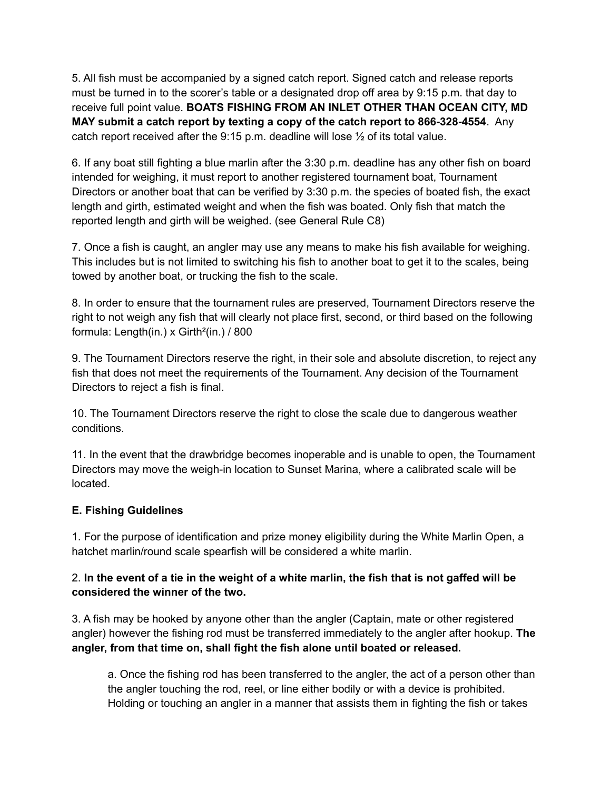5. All fish must be accompanied by a signed catch report. Signed catch and release reports must be turned in to the scorer's table or a designated drop off area by 9:15 p.m. that day to receive full point value. **BOATS FISHING FROM AN INLET OTHER THAN OCEAN CITY, MD MAY submit a catch report by texting a copy of the catch report to 866-328-4554**. Any catch report received after the  $9:15$  p.m. deadline will lose  $\frac{1}{2}$  of its total value.

6. If any boat still fighting a blue marlin after the 3:30 p.m. deadline has any other fish on board intended for weighing, it must report to another registered tournament boat, Tournament Directors or another boat that can be verified by 3:30 p.m. the species of boated fish, the exact length and girth, estimated weight and when the fish was boated. Only fish that match the reported length and girth will be weighed. (see General Rule C8)

7. Once a fish is caught, an angler may use any means to make his fish available for weighing. This includes but is not limited to switching his fish to another boat to get it to the scales, being towed by another boat, or trucking the fish to the scale.

8. In order to ensure that the tournament rules are preserved, Tournament Directors reserve the right to not weigh any fish that will clearly not place first, second, or third based on the following formula: Length(in.) x Girth<sup>2</sup>(in.) / 800

9. The Tournament Directors reserve the right, in their sole and absolute discretion, to reject any fish that does not meet the requirements of the Tournament. Any decision of the Tournament Directors to reject a fish is final.

10. The Tournament Directors reserve the right to close the scale due to dangerous weather conditions.

11. In the event that the drawbridge becomes inoperable and is unable to open, the Tournament Directors may move the weigh-in location to Sunset Marina, where a calibrated scale will be located.

# **E. Fishing Guidelines**

1. For the purpose of identification and prize money eligibility during the White Marlin Open, a hatchet marlin/round scale spearfish will be considered a white marlin.

# 2. In the event of a tie in the weight of a white marlin, the fish that is not gaffed will be **considered the winner of the two.**

3. A fish may be hooked by anyone other than the angler (Captain, mate or other registered angler) however the fishing rod must be transferred immediately to the angler after hookup. **The angler, from that time on, shall fight the fish alone until boated or released.**

a. Once the fishing rod has been transferred to the angler, the act of a person other than the angler touching the rod, reel, or line either bodily or with a device is prohibited. Holding or touching an angler in a manner that assists them in fighting the fish or takes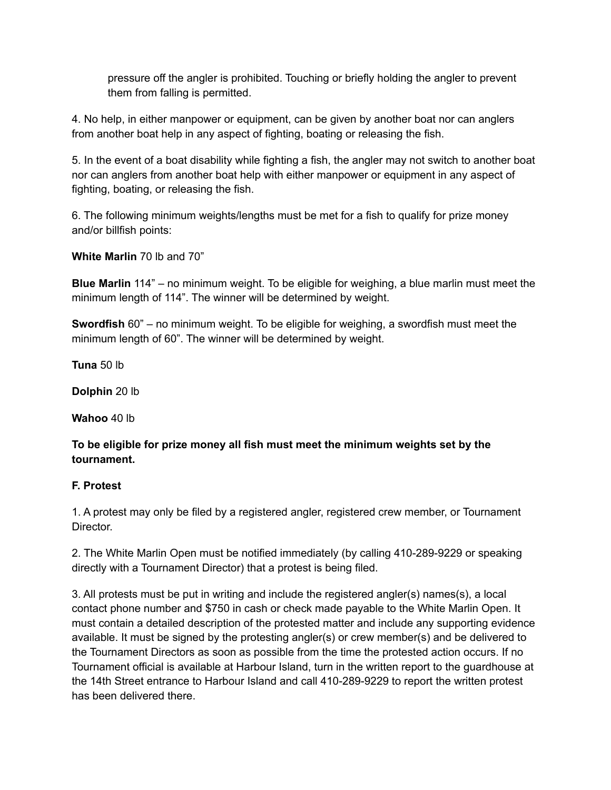pressure off the angler is prohibited. Touching or briefly holding the angler to prevent them from falling is permitted.

4. No help, in either manpower or equipment, can be given by another boat nor can anglers from another boat help in any aspect of fighting, boating or releasing the fish.

5. In the event of a boat disability while fighting a fish, the angler may not switch to another boat nor can anglers from another boat help with either manpower or equipment in any aspect of fighting, boating, or releasing the fish.

6. The following minimum weights/lengths must be met for a fish to qualify for prize money and/or billfish points:

**White Marlin** 70 lb and 70"

**Blue Marlin** 114" – no minimum weight. To be eligible for weighing, a blue marlin must meet the minimum length of 114". The winner will be determined by weight.

**Swordfish** 60" – no minimum weight. To be eligible for weighing, a swordfish must meet the minimum length of 60". The winner will be determined by weight.

**Tuna** 50 lb

**Dolphin** 20 lb

**Wahoo** 40 lb

**To be eligible for prize money all fish must meet the minimum weights set by the tournament.**

# **F. Protest**

1. A protest may only be filed by a registered angler, registered crew member, or Tournament Director.

2. The White Marlin Open must be notified immediately (by calling 410-289-9229 or speaking directly with a Tournament Director) that a protest is being filed.

3. All protests must be put in writing and include the registered angler(s) names(s), a local contact phone number and \$750 in cash or check made payable to the White Marlin Open. It must contain a detailed description of the protested matter and include any supporting evidence available. It must be signed by the protesting angler(s) or crew member(s) and be delivered to the Tournament Directors as soon as possible from the time the protested action occurs. If no Tournament official is available at Harbour Island, turn in the written report to the guardhouse at the 14th Street entrance to Harbour Island and call 410-289-9229 to report the written protest has been delivered there.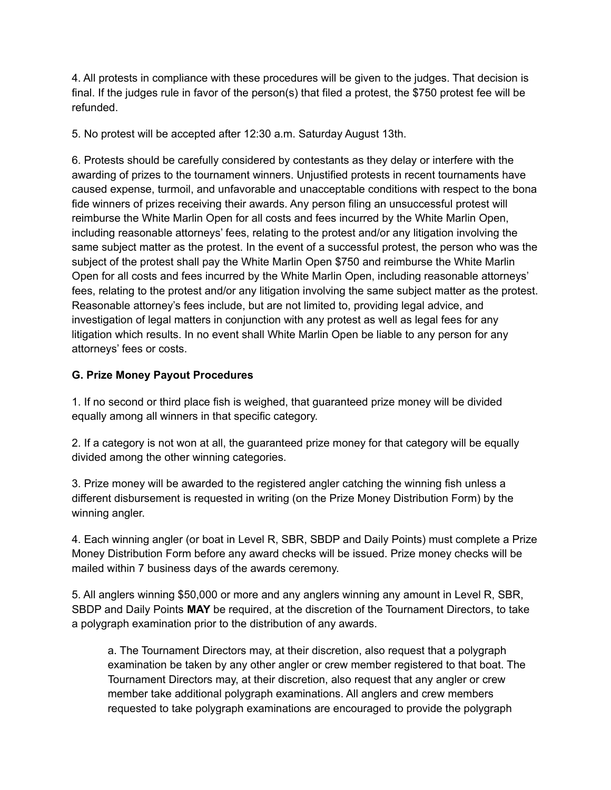4. All protests in compliance with these procedures will be given to the judges. That decision is final. If the judges rule in favor of the person(s) that filed a protest, the \$750 protest fee will be refunded.

5. No protest will be accepted after 12:30 a.m. Saturday August 13th.

6. Protests should be carefully considered by contestants as they delay or interfere with the awarding of prizes to the tournament winners. Unjustified protests in recent tournaments have caused expense, turmoil, and unfavorable and unacceptable conditions with respect to the bona fide winners of prizes receiving their awards. Any person filing an unsuccessful protest will reimburse the White Marlin Open for all costs and fees incurred by the White Marlin Open, including reasonable attorneys' fees, relating to the protest and/or any litigation involving the same subject matter as the protest. In the event of a successful protest, the person who was the subject of the protest shall pay the White Marlin Open \$750 and reimburse the White Marlin Open for all costs and fees incurred by the White Marlin Open, including reasonable attorneys' fees, relating to the protest and/or any litigation involving the same subject matter as the protest. Reasonable attorney's fees include, but are not limited to, providing legal advice, and investigation of legal matters in conjunction with any protest as well as legal fees for any litigation which results. In no event shall White Marlin Open be liable to any person for any attorneys' fees or costs.

# **G. Prize Money Payout Procedures**

1. If no second or third place fish is weighed, that guaranteed prize money will be divided equally among all winners in that specific category.

2. If a category is not won at all, the guaranteed prize money for that category will be equally divided among the other winning categories.

3. Prize money will be awarded to the registered angler catching the winning fish unless a different disbursement is requested in writing (on the Prize Money Distribution Form) by the winning angler.

4. Each winning angler (or boat in Level R, SBR, SBDP and Daily Points) must complete a Prize Money Distribution Form before any award checks will be issued. Prize money checks will be mailed within 7 business days of the awards ceremony.

5. All anglers winning \$50,000 or more and any anglers winning any amount in Level R, SBR, SBDP and Daily Points **MAY** be required, at the discretion of the Tournament Directors, to take a polygraph examination prior to the distribution of any awards.

a. The Tournament Directors may, at their discretion, also request that a polygraph examination be taken by any other angler or crew member registered to that boat. The Tournament Directors may, at their discretion, also request that any angler or crew member take additional polygraph examinations. All anglers and crew members requested to take polygraph examinations are encouraged to provide the polygraph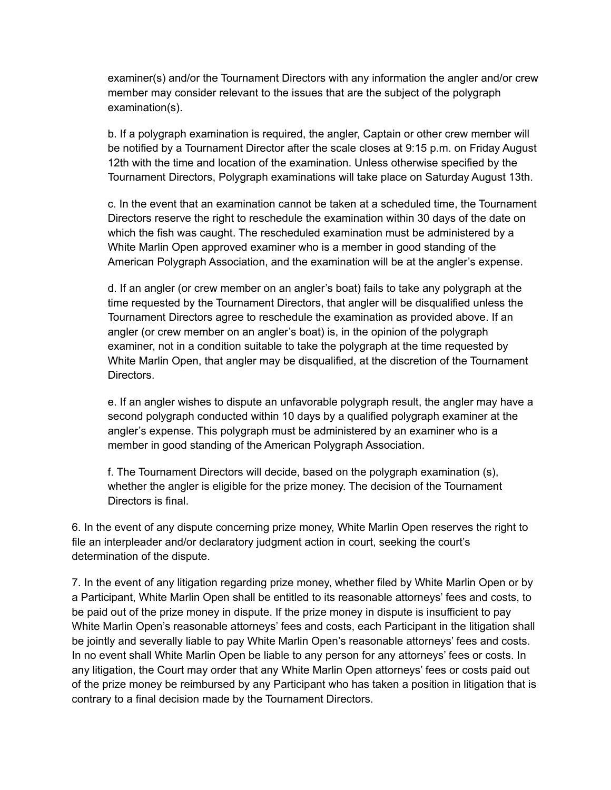examiner(s) and/or the Tournament Directors with any information the angler and/or crew member may consider relevant to the issues that are the subject of the polygraph examination(s).

b. If a polygraph examination is required, the angler, Captain or other crew member will be notified by a Tournament Director after the scale closes at 9:15 p.m. on Friday August 12th with the time and location of the examination. Unless otherwise specified by the Tournament Directors, Polygraph examinations will take place on Saturday August 13th.

c. In the event that an examination cannot be taken at a scheduled time, the Tournament Directors reserve the right to reschedule the examination within 30 days of the date on which the fish was caught. The rescheduled examination must be administered by a White Marlin Open approved examiner who is a member in good standing of the American Polygraph Association, and the examination will be at the angler's expense.

d. If an angler (or crew member on an angler's boat) fails to take any polygraph at the time requested by the Tournament Directors, that angler will be disqualified unless the Tournament Directors agree to reschedule the examination as provided above. If an angler (or crew member on an angler's boat) is, in the opinion of the polygraph examiner, not in a condition suitable to take the polygraph at the time requested by White Marlin Open, that angler may be disqualified, at the discretion of the Tournament Directors.

e. If an angler wishes to dispute an unfavorable polygraph result, the angler may have a second polygraph conducted within 10 days by a qualified polygraph examiner at the angler's expense. This polygraph must be administered by an examiner who is a member in good standing of the American Polygraph Association.

f. The Tournament Directors will decide, based on the polygraph examination (s), whether the angler is eligible for the prize money. The decision of the Tournament Directors is final.

6. In the event of any dispute concerning prize money, White Marlin Open reserves the right to file an interpleader and/or declaratory judgment action in court, seeking the court's determination of the dispute.

7. In the event of any litigation regarding prize money, whether filed by White Marlin Open or by a Participant, White Marlin Open shall be entitled to its reasonable attorneys' fees and costs, to be paid out of the prize money in dispute. If the prize money in dispute is insufficient to pay White Marlin Open's reasonable attorneys' fees and costs, each Participant in the litigation shall be jointly and severally liable to pay White Marlin Open's reasonable attorneys' fees and costs. In no event shall White Marlin Open be liable to any person for any attorneys' fees or costs. In any litigation, the Court may order that any White Marlin Open attorneys' fees or costs paid out of the prize money be reimbursed by any Participant who has taken a position in litigation that is contrary to a final decision made by the Tournament Directors.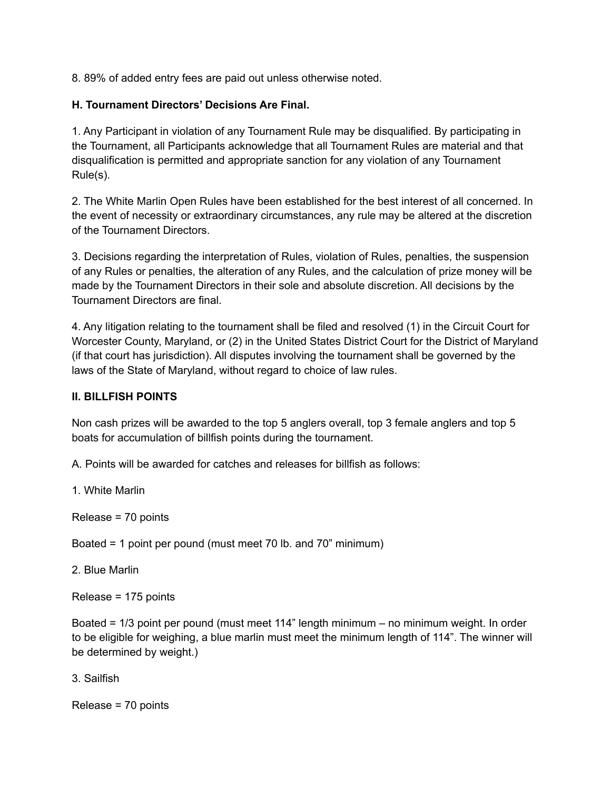8. 89% of added entry fees are paid out unless otherwise noted.

# **H. Tournament Directors' Decisions Are Final.**

1. Any Participant in violation of any Tournament Rule may be disqualified. By participating in the Tournament, all Participants acknowledge that all Tournament Rules are material and that disqualification is permitted and appropriate sanction for any violation of any Tournament Rule(s).

2. The White Marlin Open Rules have been established for the best interest of all concerned. In the event of necessity or extraordinary circumstances, any rule may be altered at the discretion of the Tournament Directors.

3. Decisions regarding the interpretation of Rules, violation of Rules, penalties, the suspension of any Rules or penalties, the alteration of any Rules, and the calculation of prize money will be made by the Tournament Directors in their sole and absolute discretion. All decisions by the Tournament Directors are final.

4. Any litigation relating to the tournament shall be filed and resolved (1) in the Circuit Court for Worcester County, Maryland, or (2) in the United States District Court for the District of Maryland (if that court has jurisdiction). All disputes involving the tournament shall be governed by the laws of the State of Maryland, without regard to choice of law rules.

### **II. BILLFISH POINTS**

Non cash prizes will be awarded to the top 5 anglers overall, top 3 female anglers and top 5 boats for accumulation of billfish points during the tournament.

A. Points will be awarded for catches and releases for billfish as follows:

1. White Marlin

Release = 70 points

Boated = 1 point per pound (must meet 70 lb. and 70" minimum)

2. Blue Marlin

Release = 175 points

Boated = 1/3 point per pound (must meet 114" length minimum – no minimum weight. In order to be eligible for weighing, a blue marlin must meet the minimum length of 114". The winner will be determined by weight.)

3. Sailfish

Release = 70 points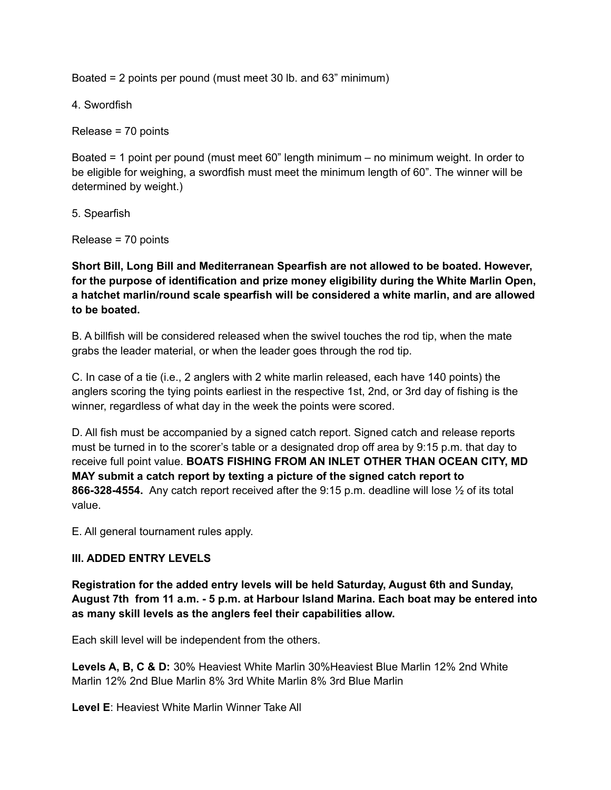Boated = 2 points per pound (must meet 30 lb. and 63" minimum)

4. Swordfish

Release = 70 points

Boated = 1 point per pound (must meet 60" length minimum – no minimum weight. In order to be eligible for weighing, a swordfish must meet the minimum length of 60". The winner will be determined by weight.)

5. Spearfish

Release = 70 points

**Short Bill, Long Bill and Mediterranean Spearfish are not allowed to be boated. However, for the purpose of identification and prize money eligibility during the White Marlin Open, a hatchet marlin/round scale spearfish will be considered a white marlin, and are allowed to be boated.**

B. A billfish will be considered released when the swivel touches the rod tip, when the mate grabs the leader material, or when the leader goes through the rod tip.

C. In case of a tie (i.e., 2 anglers with 2 white marlin released, each have 140 points) the anglers scoring the tying points earliest in the respective 1st, 2nd, or 3rd day of fishing is the winner, regardless of what day in the week the points were scored.

D. All fish must be accompanied by a signed catch report. Signed catch and release reports must be turned in to the scorer's table or a designated drop off area by 9:15 p.m. that day to receive full point value. **BOATS FISHING FROM AN INLET OTHER THAN OCEAN CITY, MD MAY submit a catch report by texting a picture of the signed catch report to 866-328-4554.** Any catch report received after the 9:15 p.m. deadline will lose ½ of its total value.

E. All general tournament rules apply.

# **III. ADDED ENTRY LEVELS**

**Registration for the added entry levels will be held Saturday, August 6th and Sunday, August 7th from 11 a.m. - 5 p.m. at Harbour Island Marina. Each boat may be entered into as many skill levels as the anglers feel their capabilities allow.**

Each skill level will be independent from the others.

**Levels A, B, C & D:** 30% Heaviest White Marlin 30%Heaviest Blue Marlin 12% 2nd White Marlin 12% 2nd Blue Marlin 8% 3rd White Marlin 8% 3rd Blue Marlin

**Level E**: Heaviest White Marlin Winner Take All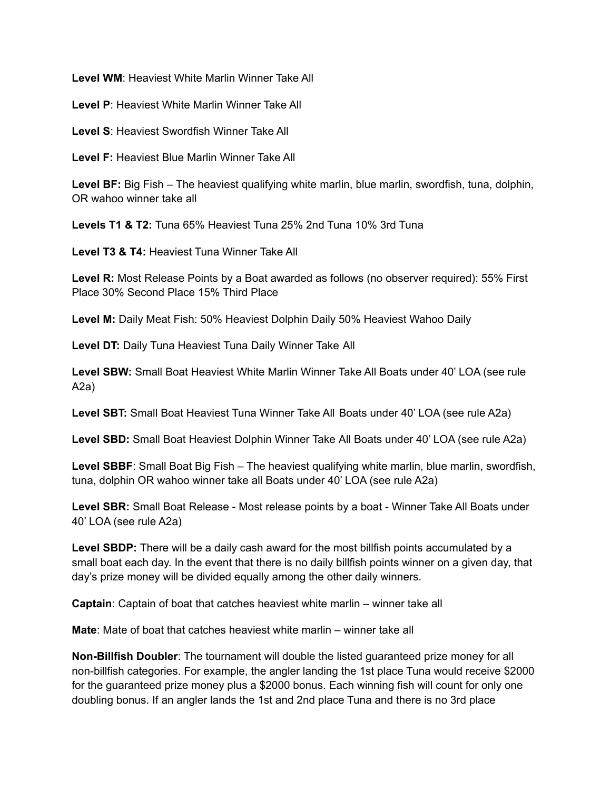**Level WM**: Heaviest White Marlin Winner Take All

**Level P**: Heaviest White Marlin Winner Take All

**Level S**: Heaviest Swordfish Winner Take All

**Level F:** Heaviest Blue Marlin Winner Take All

**Level BF:** Big Fish – The heaviest qualifying white marlin, blue marlin, swordfish, tuna, dolphin, OR wahoo winner take all

**Levels T1 & T2:** Tuna 65% Heaviest Tuna 25% 2nd Tuna 10% 3rd Tuna

**Level T3 & T4:** Heaviest Tuna Winner Take All

**Level R:** Most Release Points by a Boat awarded as follows (no observer required): 55% First Place 30% Second Place 15% Third Place

**Level M:** Daily Meat Fish: 50% Heaviest Dolphin Daily 50% Heaviest Wahoo Daily

**Level DT:** Daily Tuna Heaviest Tuna Daily Winner Take All

**Level SBW:** Small Boat Heaviest White Marlin Winner Take All Boats under 40' LOA (see rule A2a)

**Level SBT:** Small Boat Heaviest Tuna Winner Take All Boats under 40' LOA (see rule A2a)

**Level SBD:** Small Boat Heaviest Dolphin Winner Take All Boats under 40' LOA (see rule A2a)

**Level SBBF**: Small Boat Big Fish – The heaviest qualifying white marlin, blue marlin, swordfish, tuna, dolphin OR wahoo winner take all Boats under 40' LOA (see rule A2a)

**Level SBR:** Small Boat Release - Most release points by a boat - Winner Take All Boats under 40' LOA (see rule A2a)

**Level SBDP:** There will be a daily cash award for the most billfish points accumulated by a small boat each day. In the event that there is no daily billfish points winner on a given day, that day's prize money will be divided equally among the other daily winners.

**Captain**: Captain of boat that catches heaviest white marlin – winner take all

**Mate**: Mate of boat that catches heaviest white marlin – winner take all

**Non-Billfish Doubler**: The tournament will double the listed guaranteed prize money for all non-billfish categories. For example, the angler landing the 1st place Tuna would receive \$2000 for the guaranteed prize money plus a \$2000 bonus. Each winning fish will count for only one doubling bonus. If an angler lands the 1st and 2nd place Tuna and there is no 3rd place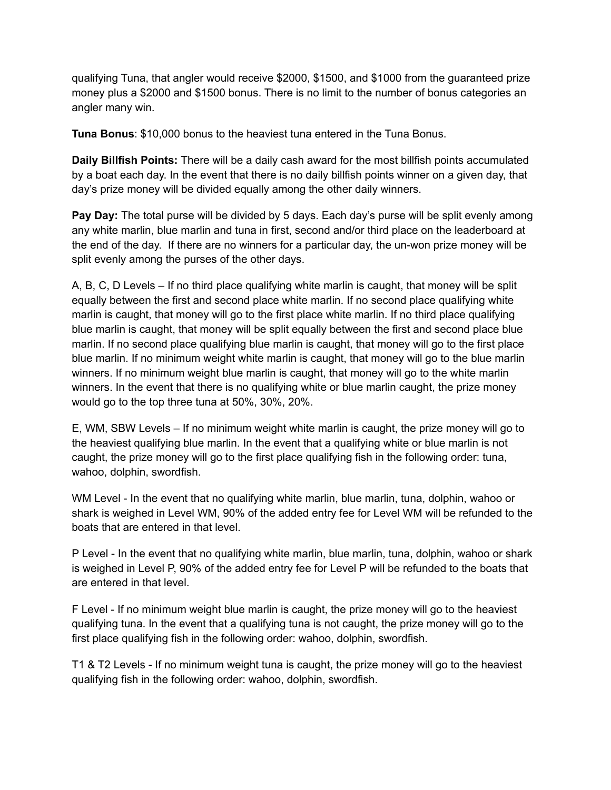qualifying Tuna, that angler would receive \$2000, \$1500, and \$1000 from the guaranteed prize money plus a \$2000 and \$1500 bonus. There is no limit to the number of bonus categories an angler many win.

**Tuna Bonus**: \$10,000 bonus to the heaviest tuna entered in the Tuna Bonus.

**Daily Billfish Points:** There will be a daily cash award for the most billfish points accumulated by a boat each day. In the event that there is no daily billfish points winner on a given day, that day's prize money will be divided equally among the other daily winners.

**Pay Day:** The total purse will be divided by 5 days. Each day's purse will be split evenly among any white marlin, blue marlin and tuna in first, second and/or third place on the leaderboard at the end of the day. If there are no winners for a particular day, the un-won prize money will be split evenly among the purses of the other days.

A, B, C, D Levels – If no third place qualifying white marlin is caught, that money will be split equally between the first and second place white marlin. If no second place qualifying white marlin is caught, that money will go to the first place white marlin. If no third place qualifying blue marlin is caught, that money will be split equally between the first and second place blue marlin. If no second place qualifying blue marlin is caught, that money will go to the first place blue marlin. If no minimum weight white marlin is caught, that money will go to the blue marlin winners. If no minimum weight blue marlin is caught, that money will go to the white marlin winners. In the event that there is no qualifying white or blue marlin caught, the prize money would go to the top three tuna at 50%, 30%, 20%.

E, WM, SBW Levels – If no minimum weight white marlin is caught, the prize money will go to the heaviest qualifying blue marlin. In the event that a qualifying white or blue marlin is not caught, the prize money will go to the first place qualifying fish in the following order: tuna, wahoo, dolphin, swordfish.

WM Level - In the event that no qualifying white marlin, blue marlin, tuna, dolphin, wahoo or shark is weighed in Level WM, 90% of the added entry fee for Level WM will be refunded to the boats that are entered in that level.

P Level - In the event that no qualifying white marlin, blue marlin, tuna, dolphin, wahoo or shark is weighed in Level P, 90% of the added entry fee for Level P will be refunded to the boats that are entered in that level.

F Level - If no minimum weight blue marlin is caught, the prize money will go to the heaviest qualifying tuna. In the event that a qualifying tuna is not caught, the prize money will go to the first place qualifying fish in the following order: wahoo, dolphin, swordfish.

T1 & T2 Levels - If no minimum weight tuna is caught, the prize money will go to the heaviest qualifying fish in the following order: wahoo, dolphin, swordfish.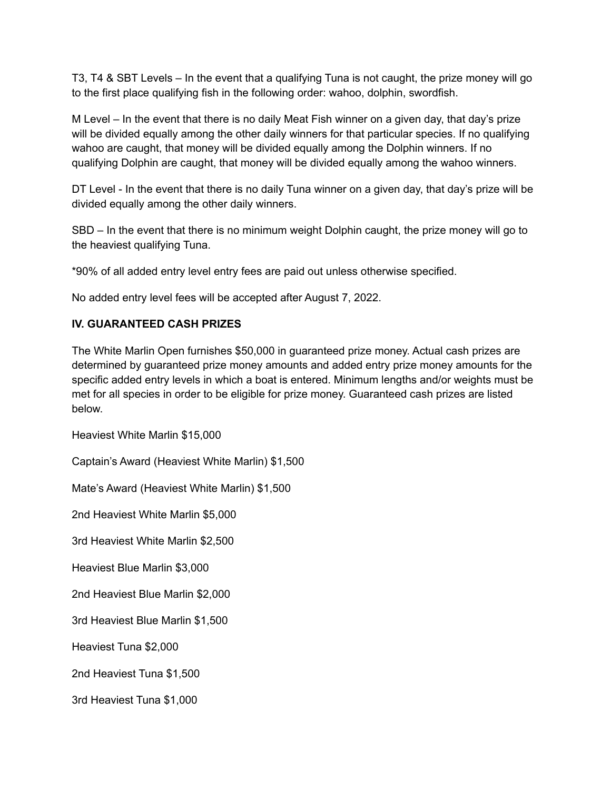T3, T4 & SBT Levels – In the event that a qualifying Tuna is not caught, the prize money will go to the first place qualifying fish in the following order: wahoo, dolphin, swordfish.

M Level – In the event that there is no daily Meat Fish winner on a given day, that day's prize will be divided equally among the other daily winners for that particular species. If no qualifying wahoo are caught, that money will be divided equally among the Dolphin winners. If no qualifying Dolphin are caught, that money will be divided equally among the wahoo winners.

DT Level - In the event that there is no daily Tuna winner on a given day, that day's prize will be divided equally among the other daily winners.

SBD – In the event that there is no minimum weight Dolphin caught, the prize money will go to the heaviest qualifying Tuna.

\*90% of all added entry level entry fees are paid out unless otherwise specified.

No added entry level fees will be accepted after August 7, 2022.

# **IV. GUARANTEED CASH PRIZES**

The White Marlin Open furnishes \$50,000 in guaranteed prize money. Actual cash prizes are determined by guaranteed prize money amounts and added entry prize money amounts for the specific added entry levels in which a boat is entered. Minimum lengths and/or weights must be met for all species in order to be eligible for prize money. Guaranteed cash prizes are listed below.

Heaviest White Marlin \$15,000

Captain's Award (Heaviest White Marlin) \$1,500

Mate's Award (Heaviest White Marlin) \$1,500

2nd Heaviest White Marlin \$5,000

3rd Heaviest White Marlin \$2,500

Heaviest Blue Marlin \$3,000

2nd Heaviest Blue Marlin \$2,000

3rd Heaviest Blue Marlin \$1,500

Heaviest Tuna \$2,000

2nd Heaviest Tuna \$1,500

3rd Heaviest Tuna \$1,000